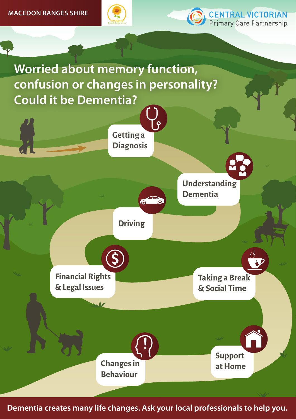



**Worried about memory function, confusion or changes in personality? Could it be Dementia?**



**Dementia creates many life changes. Ask your local professionals to help you.**